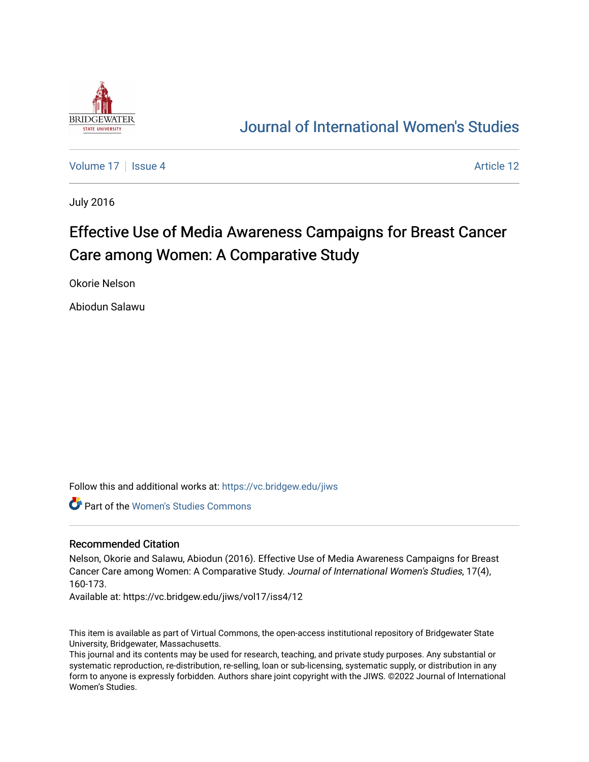

# [Journal of International Women's Studies](https://vc.bridgew.edu/jiws)

[Volume 17](https://vc.bridgew.edu/jiws/vol17) | [Issue 4](https://vc.bridgew.edu/jiws/vol17/iss4) Article 12

July 2016

# Effective Use of Media Awareness Campaigns for Breast Cancer Care among Women: A Comparative Study

Okorie Nelson

Abiodun Salawu

Follow this and additional works at: [https://vc.bridgew.edu/jiws](https://vc.bridgew.edu/jiws?utm_source=vc.bridgew.edu%2Fjiws%2Fvol17%2Fiss4%2F12&utm_medium=PDF&utm_campaign=PDFCoverPages)

Part of the [Women's Studies Commons](http://network.bepress.com/hgg/discipline/561?utm_source=vc.bridgew.edu%2Fjiws%2Fvol17%2Fiss4%2F12&utm_medium=PDF&utm_campaign=PDFCoverPages) 

#### Recommended Citation

Nelson, Okorie and Salawu, Abiodun (2016). Effective Use of Media Awareness Campaigns for Breast Cancer Care among Women: A Comparative Study. Journal of International Women's Studies, 17(4), 160-173.

Available at: https://vc.bridgew.edu/jiws/vol17/iss4/12

This item is available as part of Virtual Commons, the open-access institutional repository of Bridgewater State University, Bridgewater, Massachusetts.

This journal and its contents may be used for research, teaching, and private study purposes. Any substantial or systematic reproduction, re-distribution, re-selling, loan or sub-licensing, systematic supply, or distribution in any form to anyone is expressly forbidden. Authors share joint copyright with the JIWS. ©2022 Journal of International Women's Studies.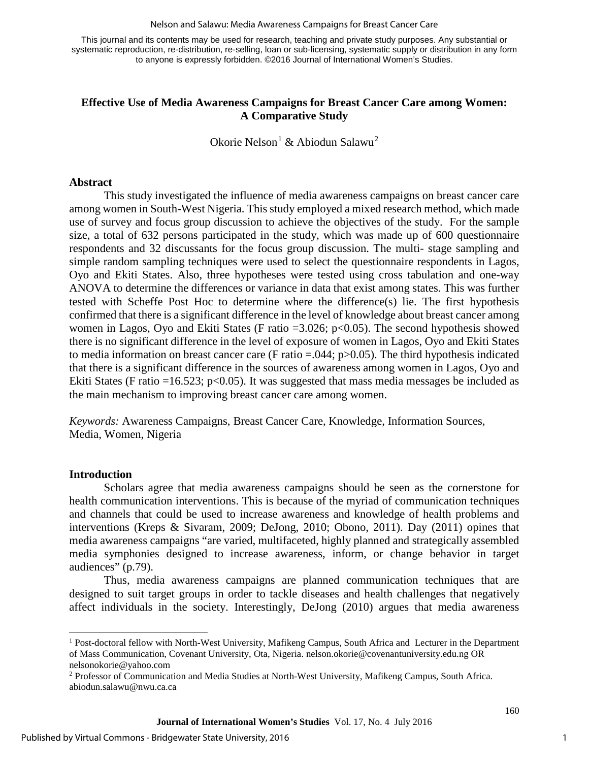#### Nelson and Salawu: Media Awareness Campaigns for Breast Cancer Care

This journal and its contents may be used for research, teaching and private study purposes. Any substantial or systematic reproduction, re-distribution, re-selling, loan or sub-licensing, systematic supply or distribution in any form to anyone is expressly forbidden. ©2016 Journal of International Women's Studies.

# **Effective Use of Media Awareness Campaigns for Breast Cancer Care among Women: A Comparative Study**

Okorie Nelson<sup>[1](#page-1-0)</sup> & Abiodun Salawu<sup>[2](#page-1-1)</sup>

#### **Abstract**

This study investigated the influence of media awareness campaigns on breast cancer care among women in South-West Nigeria. This study employed a mixed research method, which made use of survey and focus group discussion to achieve the objectives of the study. For the sample size, a total of 632 persons participated in the study, which was made up of 600 questionnaire respondents and 32 discussants for the focus group discussion. The multi- stage sampling and simple random sampling techniques were used to select the questionnaire respondents in Lagos, Oyo and Ekiti States. Also, three hypotheses were tested using cross tabulation and one-way ANOVA to determine the differences or variance in data that exist among states. This was further tested with Scheffe Post Hoc to determine where the difference(s) lie. The first hypothesis confirmed that there is a significant difference in the level of knowledge about breast cancer among women in Lagos, Oyo and Ekiti States (F ratio  $=3.026$ ; p $< 0.05$ ). The second hypothesis showed there is no significant difference in the level of exposure of women in Lagos, Oyo and Ekiti States to media information on breast cancer care (F ratio  $= 0.044$ ; p $> 0.05$ ). The third hypothesis indicated that there is a significant difference in the sources of awareness among women in Lagos, Oyo and Ekiti States (F ratio =16.523;  $p<0.05$ ). It was suggested that mass media messages be included as the main mechanism to improving breast cancer care among women.

*Keywords:* Awareness Campaigns, Breast Cancer Care, Knowledge, Information Sources, Media, Women, Nigeria

# **Introduction**

 $\overline{\phantom{a}}$ 

Scholars agree that media awareness campaigns should be seen as the cornerstone for health communication interventions. This is because of the myriad of communication techniques and channels that could be used to increase awareness and knowledge of health problems and interventions (Kreps & Sivaram, 2009; DeJong, 2010; Obono, 2011). Day (2011) opines that media awareness campaigns "are varied, multifaceted, highly planned and strategically assembled media symphonies designed to increase awareness, inform, or change behavior in target audiences" (p.79).

Thus, media awareness campaigns are planned communication techniques that are designed to suit target groups in order to tackle diseases and health challenges that negatively affect individuals in the society. Interestingly, DeJong (2010) argues that media awareness

<span id="page-1-0"></span><sup>&</sup>lt;sup>1</sup> Post-doctoral fellow with North-West University, Mafikeng Campus, South Africa and Lecturer in the Department of Mass Communication, Covenant University, Ota, Nigeria. [nelson.okorie@covenantuniversity.edu.ng](mailto:nelson.okorie@covenantuniversity.edu.ng) OR [nelsonokorie@yahoo.com](mailto:nelsonokorie@yahoo.com)

<span id="page-1-1"></span><sup>2</sup> Professor of Communication and Media Studies at North-West University, Mafikeng Campus, South Africa. [abiodun.salawu@nwu.ca.ca](mailto:abiodun.salawu@nwu.ca.ca)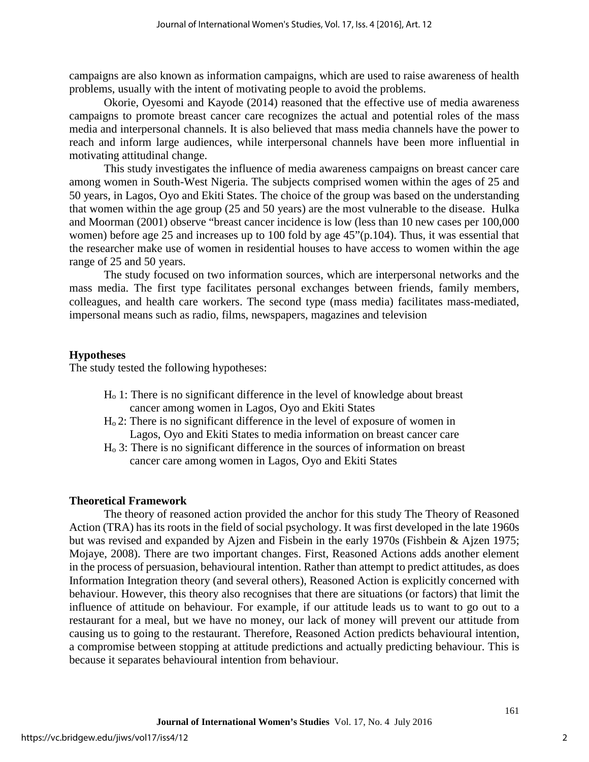campaigns are also known as information campaigns, which are used to raise awareness of health problems, usually with the intent of motivating people to avoid the problems.

Okorie, Oyesomi and Kayode (2014) reasoned that the effective use of media awareness campaigns to promote breast cancer care recognizes the actual and potential roles of the mass media and interpersonal channels. It is also believed that mass media channels have the power to reach and inform large audiences, while interpersonal channels have been more influential in motivating attitudinal change.

This study investigates the influence of media awareness campaigns on breast cancer care among women in South-West Nigeria. The subjects comprised women within the ages of 25 and 50 years, in Lagos, Oyo and Ekiti States. The choice of the group was based on the understanding that women within the age group (25 and 50 years) are the most vulnerable to the disease. Hulka and Moorman (2001) observe "breast cancer incidence is low (less than 10 new cases per 100,000 women) before age 25 and increases up to 100 fold by age 45"(p.104). Thus, it was essential that the researcher make use of women in residential houses to have access to women within the age range of 25 and 50 years.

The study focused on two information sources, which are interpersonal networks and the mass media. The first type facilitates personal exchanges between friends, family members, colleagues, and health care workers. The second type (mass media) facilitates mass-mediated, impersonal means such as radio, films, newspapers, magazines and television

# **Hypotheses**

The study tested the following hypotheses:

- Ho 1: There is no significant difference in the level of knowledge about breast cancer among women in Lagos, Oyo and Ekiti States
- Ho 2: There is no significant difference in the level of exposure of women in Lagos, Oyo and Ekiti States to media information on breast cancer care
- Ho 3: There is no significant difference in the sources of information on breast cancer care among women in Lagos, Oyo and Ekiti States

#### **Theoretical Framework**

The theory of reasoned action provided the anchor for this study The Theory of Reasoned Action (TRA) has its roots in the field of social psychology. It was first developed in the late 1960s but was revised and expanded by Ajzen and Fisbein in the early 1970s (Fishbein & Ajzen 1975; Mojaye, 2008). There are two important changes. First, Reasoned Actions adds another element in the process of persuasion, behavioural intention. Rather than attempt to predict attitudes, as does Information Integration theory (and several others), Reasoned Action is explicitly concerned with behaviour. However, this theory also recognises that there are situations (or factors) that limit the influence of attitude on behaviour. For example, if our attitude leads us to want to go out to a restaurant for a meal, but we have no money, our lack of money will prevent our attitude from causing us to going to the restaurant. Therefore, Reasoned Action predicts behavioural intention, a compromise between stopping at attitude predictions and actually predicting behaviour. This is because it separates behavioural intention from behaviour.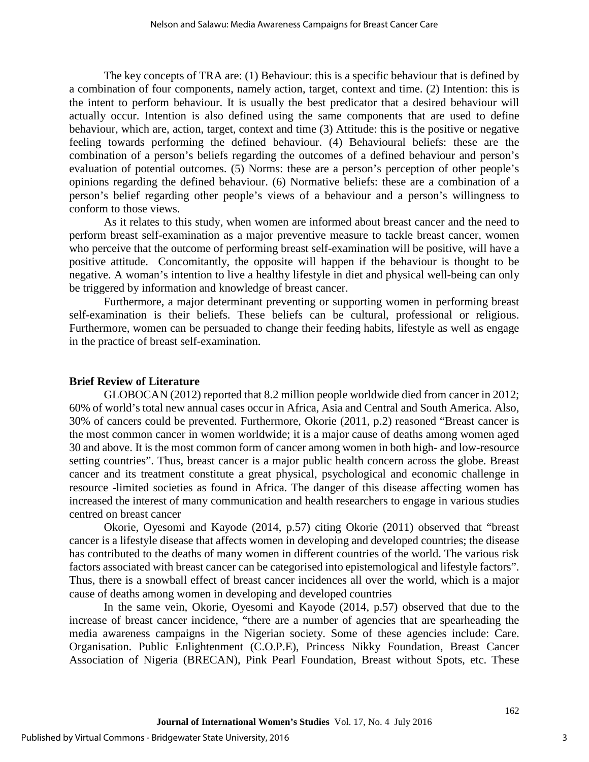The key concepts of TRA are: (1) Behaviour: this is a specific behaviour that is defined by a combination of four components, namely action, target, context and time. (2) Intention: this is the intent to perform behaviour. It is usually the best predicator that a desired behaviour will actually occur. Intention is also defined using the same components that are used to define behaviour, which are, action, target, context and time (3) Attitude: this is the positive or negative feeling towards performing the defined behaviour. (4) Behavioural beliefs: these are the combination of a person's beliefs regarding the outcomes of a defined behaviour and person's evaluation of potential outcomes. (5) Norms: these are a person's perception of other people's opinions regarding the defined behaviour. (6) Normative beliefs: these are a combination of a person's belief regarding other people's views of a behaviour and a person's willingness to conform to those views.

As it relates to this study, when women are informed about breast cancer and the need to perform breast self-examination as a major preventive measure to tackle breast cancer, women who perceive that the outcome of performing breast self-examination will be positive, will have a positive attitude. Concomitantly, the opposite will happen if the behaviour is thought to be negative. A woman's intention to live a healthy lifestyle in diet and physical well-being can only be triggered by information and knowledge of breast cancer.

Furthermore, a major determinant preventing or supporting women in performing breast self-examination is their beliefs. These beliefs can be cultural, professional or religious. Furthermore, women can be persuaded to change their feeding habits, lifestyle as well as engage in the practice of breast self-examination.

#### **Brief Review of Literature**

GLOBOCAN (2012) reported that 8.2 million people worldwide died from cancer in 2012; 60% of world's total new annual cases occur in Africa, Asia and Central and South America. Also, 30% of cancers could be prevented. Furthermore, Okorie (2011, p.2) reasoned "Breast cancer is the most common cancer in women worldwide; it is a major cause of deaths among women aged 30 and above. It is the most common form of cancer among women in both high- and low-resource setting countries". Thus, breast cancer is a major public health concern across the globe. Breast cancer and its treatment constitute a great physical, psychological and economic challenge in resource -limited societies as found in Africa. The danger of this disease affecting women has increased the interest of many communication and health researchers to engage in various studies centred on breast cancer

Okorie, Oyesomi and Kayode (2014, p.57) citing Okorie (2011) observed that "breast cancer is a lifestyle disease that affects women in developing and developed countries; the disease has contributed to the deaths of many women in different countries of the world. The various risk factors associated with breast cancer can be categorised into epistemological and lifestyle factors". Thus, there is a snowball effect of breast cancer incidences all over the world, which is a major cause of deaths among women in developing and developed countries

In the same vein, Okorie, Oyesomi and Kayode (2014, p.57) observed that due to the increase of breast cancer incidence, "there are a number of agencies that are spearheading the media awareness campaigns in the Nigerian society. Some of these agencies include: Care. Organisation. Public Enlightenment (C.O.P.E), Princess Nikky Foundation, Breast Cancer Association of Nigeria (BRECAN), Pink Pearl Foundation, Breast without Spots, etc. These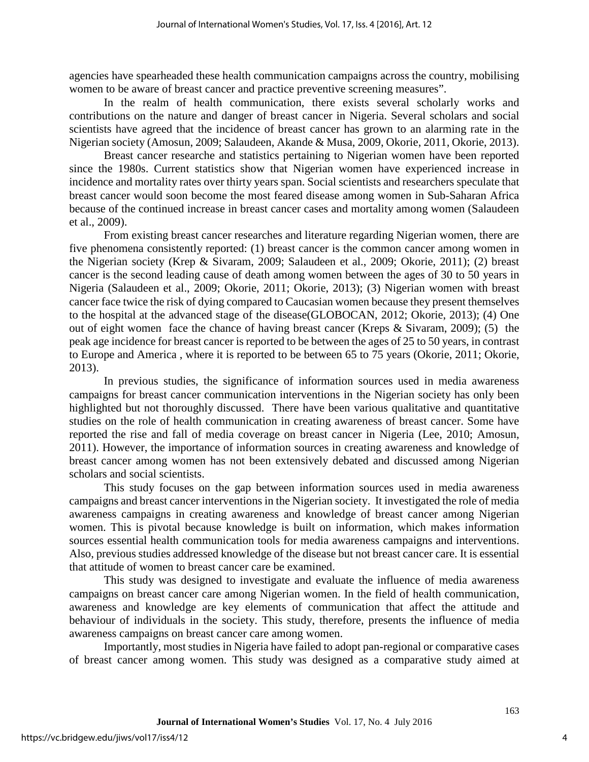agencies have spearheaded these health communication campaigns across the country, mobilising women to be aware of breast cancer and practice preventive screening measures".

In the realm of health communication, there exists several scholarly works and contributions on the nature and danger of breast cancer in Nigeria. Several scholars and social scientists have agreed that the incidence of breast cancer has grown to an alarming rate in the Nigerian society (Amosun, 2009; Salaudeen, Akande & Musa, 2009, Okorie, 2011, Okorie, 2013).

Breast cancer researche and statistics pertaining to Nigerian women have been reported since the 1980s. Current statistics show that Nigerian women have experienced increase in incidence and mortality rates over thirty years span. Social scientists and researchers speculate that breast cancer would soon become the most feared disease among women in Sub-Saharan Africa because of the continued increase in breast cancer cases and mortality among women (Salaudeen et al., 2009).

From existing breast cancer researches and literature regarding Nigerian women, there are five phenomena consistently reported: (1) breast cancer is the common cancer among women in the Nigerian society (Krep & Sivaram, 2009; Salaudeen et al., 2009; Okorie, 2011); (2) breast cancer is the second leading cause of death among women between the ages of 30 to 50 years in Nigeria (Salaudeen et al., 2009; Okorie, 2011; Okorie, 2013); (3) Nigerian women with breast cancer face twice the risk of dying compared to Caucasian women because they present themselves to the hospital at the advanced stage of the disease(GLOBOCAN, 2012; Okorie, 2013); (4) One out of eight women face the chance of having breast cancer (Kreps & Sivaram, 2009); (5) the peak age incidence for breast cancer is reported to be between the ages of 25 to 50 years, in contrast to Europe and America , where it is reported to be between 65 to 75 years (Okorie, 2011; Okorie, 2013).

In previous studies, the significance of information sources used in media awareness campaigns for breast cancer communication interventions in the Nigerian society has only been highlighted but not thoroughly discussed. There have been various qualitative and quantitative studies on the role of health communication in creating awareness of breast cancer. Some have reported the rise and fall of media coverage on breast cancer in Nigeria (Lee, 2010; Amosun, 2011). However, the importance of information sources in creating awareness and knowledge of breast cancer among women has not been extensively debated and discussed among Nigerian scholars and social scientists.

This study focuses on the gap between information sources used in media awareness campaigns and breast cancer interventions in the Nigerian society. It investigated the role of media awareness campaigns in creating awareness and knowledge of breast cancer among Nigerian women. This is pivotal because knowledge is built on information, which makes information sources essential health communication tools for media awareness campaigns and interventions. Also, previous studies addressed knowledge of the disease but not breast cancer care. It is essential that attitude of women to breast cancer care be examined.

This study was designed to investigate and evaluate the influence of media awareness campaigns on breast cancer care among Nigerian women. In the field of health communication, awareness and knowledge are key elements of communication that affect the attitude and behaviour of individuals in the society. This study, therefore, presents the influence of media awareness campaigns on breast cancer care among women.

Importantly, most studies in Nigeria have failed to adopt pan-regional or comparative cases of breast cancer among women. This study was designed as a comparative study aimed at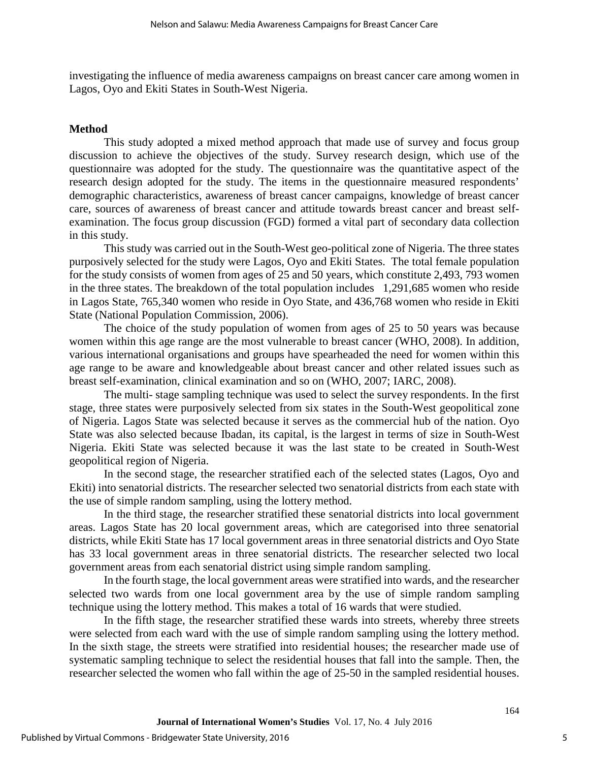investigating the influence of media awareness campaigns on breast cancer care among women in Lagos, Oyo and Ekiti States in South-West Nigeria.

#### **Method**

This study adopted a mixed method approach that made use of survey and focus group discussion to achieve the objectives of the study. Survey research design, which use of the questionnaire was adopted for the study. The questionnaire was the quantitative aspect of the research design adopted for the study. The items in the questionnaire measured respondents' demographic characteristics, awareness of breast cancer campaigns, knowledge of breast cancer care, sources of awareness of breast cancer and attitude towards breast cancer and breast selfexamination. The focus group discussion (FGD) formed a vital part of secondary data collection in this study.

This study was carried out in the South-West geo-political zone of Nigeria. The three states purposively selected for the study were Lagos, Oyo and Ekiti States. The total female population for the study consists of women from ages of 25 and 50 years, which constitute 2,493, 793 women in the three states. The breakdown of the total population includes 1,291,685 women who reside in Lagos State, 765,340 women who reside in Oyo State, and 436,768 women who reside in Ekiti State (National Population Commission, 2006).

The choice of the study population of women from ages of 25 to 50 years was because women within this age range are the most vulnerable to breast cancer (WHO, 2008). In addition, various international organisations and groups have spearheaded the need for women within this age range to be aware and knowledgeable about breast cancer and other related issues such as breast self-examination, clinical examination and so on (WHO, 2007; IARC, 2008).

The multi- stage sampling technique was used to select the survey respondents. In the first stage, three states were purposively selected from six states in the South-West geopolitical zone of Nigeria. Lagos State was selected because it serves as the commercial hub of the nation. Oyo State was also selected because Ibadan, its capital, is the largest in terms of size in South-West Nigeria. Ekiti State was selected because it was the last state to be created in South-West geopolitical region of Nigeria.

In the second stage, the researcher stratified each of the selected states (Lagos, Oyo and Ekiti) into senatorial districts. The researcher selected two senatorial districts from each state with the use of simple random sampling, using the lottery method.

In the third stage, the researcher stratified these senatorial districts into local government areas. Lagos State has 20 local government areas, which are categorised into three senatorial districts, while Ekiti State has 17 local government areas in three senatorial districts and Oyo State has 33 local government areas in three senatorial districts. The researcher selected two local government areas from each senatorial district using simple random sampling.

In the fourth stage, the local government areas were stratified into wards, and the researcher selected two wards from one local government area by the use of simple random sampling technique using the lottery method. This makes a total of 16 wards that were studied.

In the fifth stage, the researcher stratified these wards into streets, whereby three streets were selected from each ward with the use of simple random sampling using the lottery method. In the sixth stage, the streets were stratified into residential houses; the researcher made use of systematic sampling technique to select the residential houses that fall into the sample. Then, the researcher selected the women who fall within the age of 25-50 in the sampled residential houses.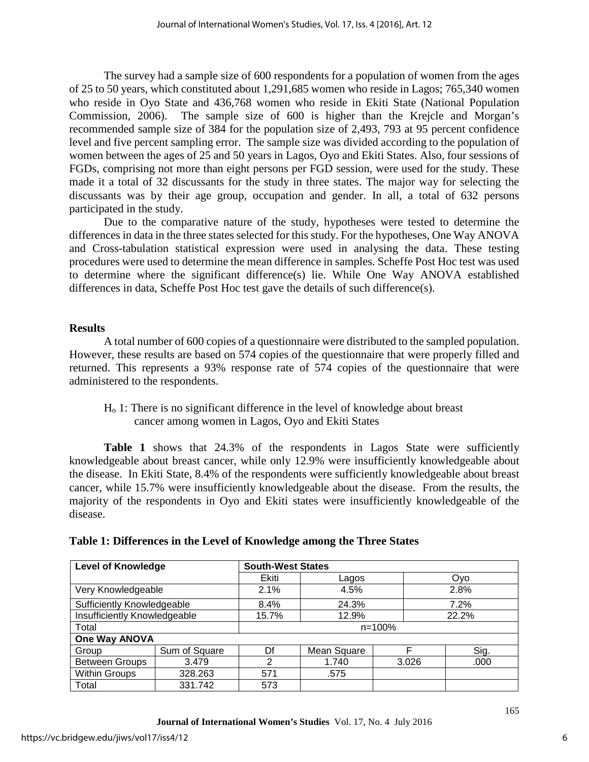The survey had a sample size of 600 respondents for a population of women from the ages of 25 to 50 years, which constituted about 1,291,685 women who reside in Lagos; 765,340 women who reside in Oyo State and 436,768 women who reside in Ekiti State (National Population Commission, 2006). The sample size of 600 is higher than the Krejcle and Morgan's recommended sample size of 384 for the population size of 2,493, 793 at 95 percent confidence level and five percent sampling error. The sample size was divided according to the population of women between the ages of 25 and 50 years in Lagos, Oyo and Ekiti States. Also, four sessions of FGDs, comprising not more than eight persons per FGD session, were used for the study. These made it a total of 32 discussants for the study in three states. The major way for selecting the discussants was by their age group, occupation and gender. In all, a total of 632 persons participated in the study.

Due to the comparative nature of the study, hypotheses were tested to determine the differences in data in the three states selected for this study. For the hypotheses, One Way ANOVA and Cross-tabulation statistical expression were used in analysing the data. These testing procedures were used to determine the mean difference in samples. Scheffe Post Hoc test was used to determine where the significant difference(s) lie. While One Way ANOVA established differences in data, Scheffe Post Hoc test gave the details of such difference(s).

# **Results**

A total number of 600 copies of a questionnaire were distributed to the sampled population. However, these results are based on 574 copies of the questionnaire that were properly filled and returned. This represents a 93% response rate of 574 copies of the questionnaire that were administered to the respondents.

Ho 1: There is no significant difference in the level of knowledge about breast cancer among women in Lagos, Oyo and Ekiti States

**Table 1** shows that 24.3% of the respondents in Lagos State were sufficiently knowledgeable about breast cancer, while only 12.9% were insufficiently knowledgeable about the disease. In Ekiti State, 8.4% of the respondents were sufficiently knowledgeable about breast cancer, while 15.7% were insufficiently knowledgeable about the disease. From the results, the majority of the respondents in Oyo and Ekiti states were insufficiently knowledgeable of the disease.

| <b>Level of Knowledge</b>    |               | <b>South-West States</b> |                  |  |       |  |  |
|------------------------------|---------------|--------------------------|------------------|--|-------|--|--|
|                              |               | Ekiti                    | Lagos            |  | Oyo   |  |  |
| Very Knowledgeable           |               | 2.1%                     | 4.5%             |  | 2.8%  |  |  |
| Sufficiently Knowledgeable   |               | 8.4%                     | 24.3%            |  | 7.2%  |  |  |
| Insufficiently Knowledgeable |               | 15.7%                    | 12.9%            |  | 22.2% |  |  |
| Total                        |               | $n = 100%$               |                  |  |       |  |  |
| One Way ANOVA                |               |                          |                  |  |       |  |  |
| Group                        | Sum of Square | Df                       | F<br>Mean Square |  | Sig.  |  |  |
| <b>Between Groups</b>        | 3.479         | 2                        | 1.740<br>3.026   |  | .000  |  |  |
| <b>Within Groups</b>         | 328.263       | 571                      | .575             |  |       |  |  |
| Total<br>331.742             |               | 573                      |                  |  |       |  |  |

# **Table 1: Differences in the Level of Knowledge among the Three States**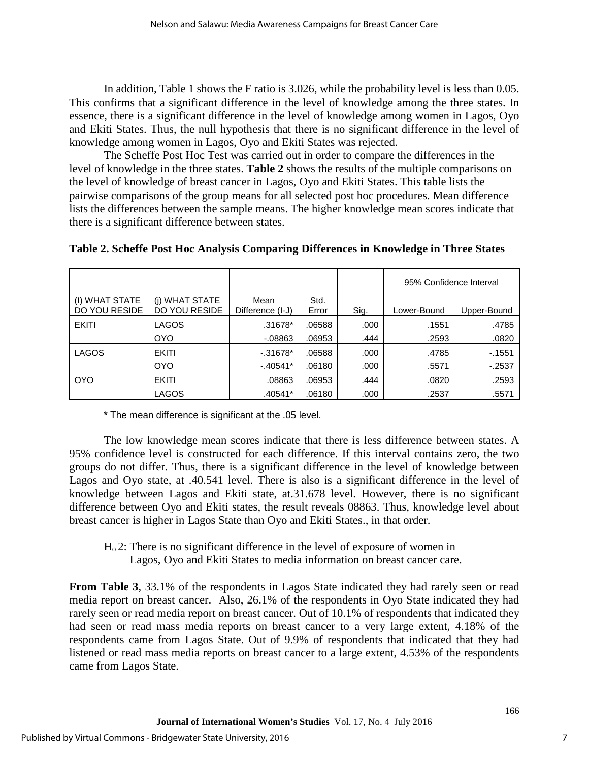In addition, Table 1 shows the F ratio is 3.026, while the probability level is less than 0.05. This confirms that a significant difference in the level of knowledge among the three states. In essence, there is a significant difference in the level of knowledge among women in Lagos, Oyo and Ekiti States. Thus, the null hypothesis that there is no significant difference in the level of knowledge among women in Lagos, Oyo and Ekiti States was rejected.

The Scheffe Post Hoc Test was carried out in order to compare the differences in the level of knowledge in the three states. **Table 2** shows the results of the multiple comparisons on the level of knowledge of breast cancer in Lagos, Oyo and Ekiti States. This table lists the pairwise comparisons of the group means for all selected post hoc procedures. Mean difference lists the differences between the sample means. The higher knowledge mean scores indicate that there is a significant difference between states.

|                                 |                                        |                          |               |      | 95% Confidence Interval |             |
|---------------------------------|----------------------------------------|--------------------------|---------------|------|-------------------------|-------------|
| (I) WHAT STATE<br>DO YOU RESIDE | (j) WHAT STATE<br><b>DO YOU RESIDE</b> | Mean<br>Difference (I-J) | Std.<br>Error | Sig. | Lower-Bound             | Upper-Bound |
| <b>EKITI</b>                    | LAGOS                                  | .31678*                  | .06588        | .000 | .1551                   | .4785       |
|                                 | OYO.                                   | $-08863$                 | .06953        | .444 | .2593                   | .0820       |
| <b>LAGOS</b>                    | <b>EKITI</b>                           | $-0.31678*$              | .06588        | .000 | .4785                   | $-1551$     |
|                                 | OYO.                                   | $-40541*$                | .06180        | .000 | .5571                   | $-2537$     |
| <b>OYO</b>                      | <b>EKITI</b>                           | .08863                   | .06953        | .444 | .0820                   | .2593       |
|                                 | LAGOS                                  | .40541*                  | .06180        | .000 | .2537                   | .5571       |

# **Table 2. Scheffe Post Hoc Analysis Comparing Differences in Knowledge in Three States**

\* The mean difference is significant at the .05 level.

The low knowledge mean scores indicate that there is less difference between states. A 95% confidence level is constructed for each difference. If this interval contains zero, the two groups do not differ. Thus, there is a significant difference in the level of knowledge between Lagos and Oyo state, at .40.541 level. There is also is a significant difference in the level of knowledge between Lagos and Ekiti state, at.31.678 level. However, there is no significant difference between Oyo and Ekiti states, the result reveals 08863. Thus, knowledge level about breast cancer is higher in Lagos State than Oyo and Ekiti States., in that order.

Ho 2: There is no significant difference in the level of exposure of women in Lagos, Oyo and Ekiti States to media information on breast cancer care.

**From Table 3, 33.1% of the respondents in Lagos State indicated they had rarely seen or read** media report on breast cancer. Also, 26.1% of the respondents in Oyo State indicated they had rarely seen or read media report on breast cancer. Out of 10.1% of respondents that indicated they had seen or read mass media reports on breast cancer to a very large extent, 4.18% of the respondents came from Lagos State. Out of 9.9% of respondents that indicated that they had listened or read mass media reports on breast cancer to a large extent, 4.53% of the respondents came from Lagos State.

7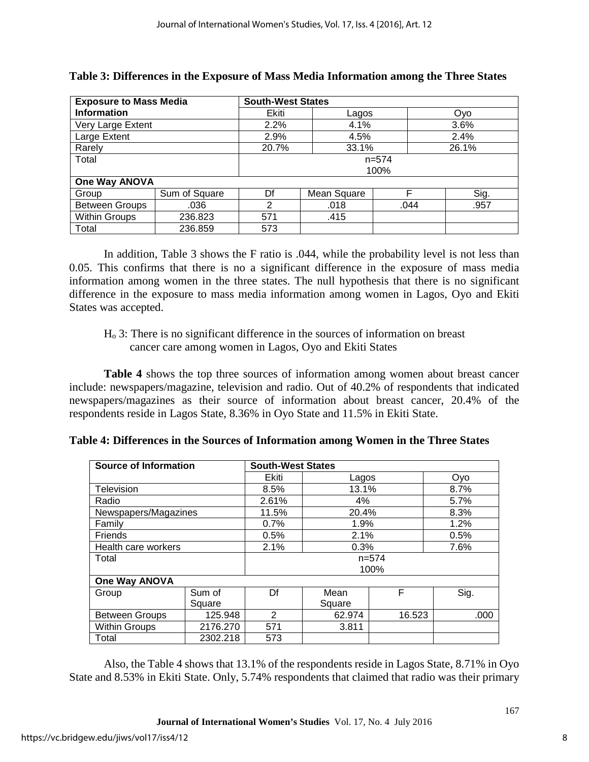| <b>Exposure to Mass Media</b> |               | <b>South-West States</b> |       |      |      |  |  |  |
|-------------------------------|---------------|--------------------------|-------|------|------|--|--|--|
| <b>Information</b>            |               | Ekiti                    | Lagos |      | Ovo  |  |  |  |
| Very Large Extent             |               | 2.2%                     | 4.1%  |      | 3.6% |  |  |  |
| Large Extent                  |               | 2.9%                     | 4.5%  |      | 2.4% |  |  |  |
| Rarely                        |               | 33.1%<br>26.1%<br>20.7%  |       |      |      |  |  |  |
| Total                         |               | $n = 574$                |       |      |      |  |  |  |
|                               |               | 100%                     |       |      |      |  |  |  |
| <b>One Way ANOVA</b>          |               |                          |       |      |      |  |  |  |
| Group                         | Sum of Square | Df<br>Mean Square        |       | F    | Sig. |  |  |  |
| <b>Between Groups</b>         | .036          | 2                        | .018  | .044 | .957 |  |  |  |
| <b>Within Groups</b>          | 236.823       | 571<br>.415              |       |      |      |  |  |  |
| Total                         | 236.859       | 573                      |       |      |      |  |  |  |

| Table 3: Differences in the Exposure of Mass Media Information among the Three States |  |  |  |  |  |  |  |
|---------------------------------------------------------------------------------------|--|--|--|--|--|--|--|
|---------------------------------------------------------------------------------------|--|--|--|--|--|--|--|

In addition, Table 3 shows the F ratio is .044, while the probability level is not less than 0.05. This confirms that there is no a significant difference in the exposure of mass media information among women in the three states. The null hypothesis that there is no significant difference in the exposure to mass media information among women in Lagos, Oyo and Ekiti States was accepted.

Ho 3: There is no significant difference in the sources of information on breast cancer care among women in Lagos, Oyo and Ekiti States

**Table 4** shows the top three sources of information among women about breast cancer include: newspapers/magazine, television and radio. Out of 40.2% of respondents that indicated newspapers/magazines as their source of information about breast cancer, 20.4% of the respondents reside in Lagos State, 8.36% in Oyo State and 11.5% in Ekiti State.

| <b>Source of Information</b> |          | <b>South-West States</b> |        |           |      |  |  |  |
|------------------------------|----------|--------------------------|--------|-----------|------|--|--|--|
|                              |          | Ekiti                    | Lagos  |           | Oyo  |  |  |  |
| Television                   |          | 8.5%                     | 13.1%  |           | 8.7% |  |  |  |
| Radio                        |          | 2.61%                    | 4%     |           | 5.7% |  |  |  |
| Newspapers/Magazines         |          | 11.5%                    | 20.4%  |           | 8.3% |  |  |  |
| Family                       |          | 0.7%                     | 1.9%   |           | 1.2% |  |  |  |
| Friends                      |          | 0.5%                     | 2.1%   |           | 0.5% |  |  |  |
| Health care workers          |          | 2.1%                     | 0.3%   |           | 7.6% |  |  |  |
| Total                        |          | $n=574$                  |        |           |      |  |  |  |
|                              |          |                          | 100%   |           |      |  |  |  |
| One Way ANOVA                |          |                          |        |           |      |  |  |  |
| Group                        | Sum of   | Df                       | Mean   | F<br>Sig. |      |  |  |  |
|                              | Square   |                          | Square |           |      |  |  |  |
| <b>Between Groups</b>        | 125.948  | 2                        | 62.974 | 16.523    | .000 |  |  |  |
| <b>Within Groups</b>         | 2176.270 | 571                      | 3.811  |           |      |  |  |  |
| Total                        | 2302.218 | 573                      |        |           |      |  |  |  |

**Table 4: Differences in the Sources of Information among Women in the Three States**

Also, the Table 4 shows that 13.1% of the respondents reside in Lagos State, 8.71% in Oyo State and 8.53% in Ekiti State. Only, 5.74% respondents that claimed that radio was their primary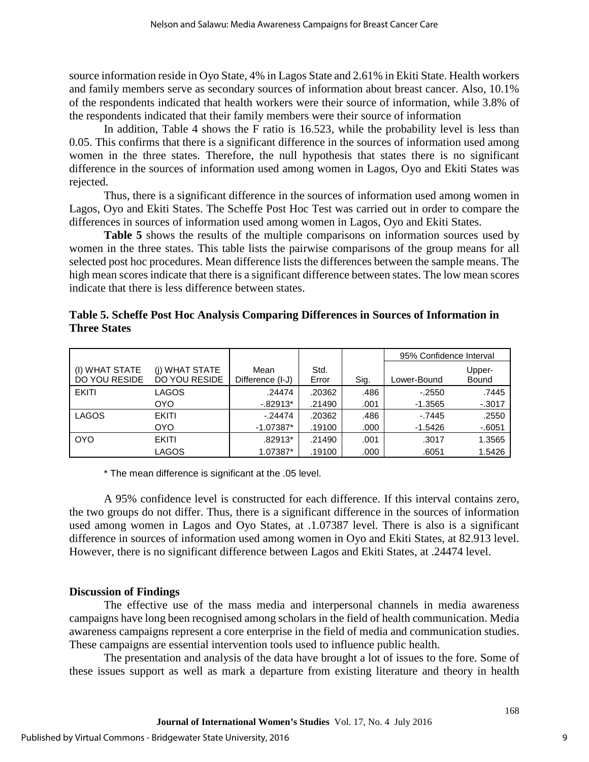source information reside in Oyo State, 4% in Lagos State and 2.61% in Ekiti State. Health workers and family members serve as secondary sources of information about breast cancer. Also, 10.1% of the respondents indicated that health workers were their source of information, while 3.8% of the respondents indicated that their family members were their source of information

In addition, Table 4 shows the F ratio is 16.523, while the probability level is less than 0.05. This confirms that there is a significant difference in the sources of information used among women in the three states. Therefore, the null hypothesis that states there is no significant difference in the sources of information used among women in Lagos, Oyo and Ekiti States was rejected.

Thus, there is a significant difference in the sources of information used among women in Lagos, Oyo and Ekiti States. The Scheffe Post Hoc Test was carried out in order to compare the differences in sources of information used among women in Lagos, Oyo and Ekiti States.

Table 5 shows the results of the multiple comparisons on information sources used by women in the three states. This table lists the pairwise comparisons of the group means for all selected post hoc procedures. Mean difference lists the differences between the sample means. The high mean scores indicate that there is a significant difference between states. The low mean scores indicate that there is less difference between states.

|                                 |                                        |                          |               |      | 95% Confidence Interval |                 |
|---------------------------------|----------------------------------------|--------------------------|---------------|------|-------------------------|-----------------|
| (I) WHAT STATE<br>DO YOU RESIDE | (i) WHAT STATE<br><b>DO YOU RESIDE</b> | Mean<br>Difference (I-J) | Std.<br>Error | Sig. | Lower-Bound             | Upper-<br>Bound |
| <b>EKITI</b>                    | LAGOS                                  | .24474                   | .20362        | .486 | $-.2550$                | .7445           |
|                                 | <b>OYO</b>                             | $-.82913*$               | .21490        | .001 | $-1.3565$               | $-0.3017$       |
| <b>LAGOS</b>                    | <b>EKITI</b>                           | $-24474$                 | .20362        | .486 | $-.7445$                | .2550           |
|                                 | <b>OYO</b>                             | $-1.07387*$              | .19100        | .000 | $-1.5426$               | $-6051$         |
| <b>OYO</b>                      | <b>EKITI</b>                           | .82913*                  | .21490        | .001 | .3017                   | 1.3565          |
|                                 | LAGOS                                  | 1.07387*                 | .19100        | .000 | .6051                   | 1.5426          |

# **Table 5. Scheffe Post Hoc Analysis Comparing Differences in Sources of Information in Three States**

\* The mean difference is significant at the .05 level.

A 95% confidence level is constructed for each difference. If this interval contains zero, the two groups do not differ. Thus, there is a significant difference in the sources of information used among women in Lagos and Oyo States, at .1.07387 level. There is also is a significant difference in sources of information used among women in Oyo and Ekiti States, at 82.913 level. However, there is no significant difference between Lagos and Ekiti States, at .24474 level.

# **Discussion of Findings**

The effective use of the mass media and interpersonal channels in media awareness campaigns have long been recognised among scholars in the field of health communication. Media awareness campaigns represent a core enterprise in the field of media and communication studies. These campaigns are essential intervention tools used to influence public health.

The presentation and analysis of the data have brought a lot of issues to the fore. Some of these issues support as well as mark a departure from existing literature and theory in health

9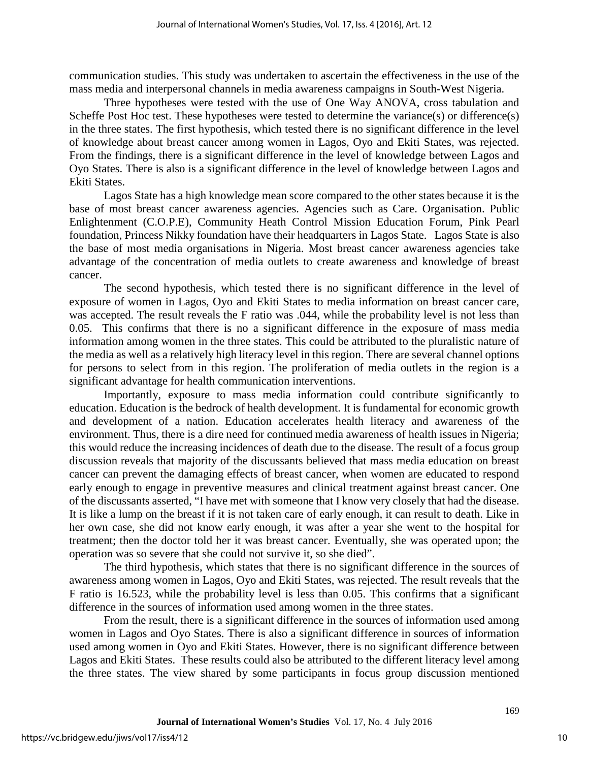communication studies. This study was undertaken to ascertain the effectiveness in the use of the mass media and interpersonal channels in media awareness campaigns in South-West Nigeria.

Three hypotheses were tested with the use of One Way ANOVA, cross tabulation and Scheffe Post Hoc test. These hypotheses were tested to determine the variance(s) or difference(s) in the three states. The first hypothesis, which tested there is no significant difference in the level of knowledge about breast cancer among women in Lagos, Oyo and Ekiti States, was rejected. From the findings, there is a significant difference in the level of knowledge between Lagos and Oyo States. There is also is a significant difference in the level of knowledge between Lagos and Ekiti States.

Lagos State has a high knowledge mean score compared to the other states because it is the base of most breast cancer awareness agencies. Agencies such as Care. Organisation. Public Enlightenment (C.O.P.E), Community Heath Control Mission Education Forum, Pink Pearl foundation, Princess Nikky foundation have their headquarters in Lagos State. Lagos State is also the base of most media organisations in Nigeria. Most breast cancer awareness agencies take advantage of the concentration of media outlets to create awareness and knowledge of breast cancer.

The second hypothesis, which tested there is no significant difference in the level of exposure of women in Lagos, Oyo and Ekiti States to media information on breast cancer care, was accepted. The result reveals the F ratio was .044, while the probability level is not less than 0.05. This confirms that there is no a significant difference in the exposure of mass media information among women in the three states. This could be attributed to the pluralistic nature of the media as well as a relatively high literacy level in this region. There are several channel options for persons to select from in this region. The proliferation of media outlets in the region is a significant advantage for health communication interventions.

Importantly, exposure to mass media information could contribute significantly to education. Education is the bedrock of health development. It is fundamental for economic growth and development of a nation. Education accelerates health literacy and awareness of the environment. Thus, there is a dire need for continued media awareness of health issues in Nigeria; this would reduce the increasing incidences of death due to the disease. The result of a focus group discussion reveals that majority of the discussants believed that mass media education on breast cancer can prevent the damaging effects of breast cancer, when women are educated to respond early enough to engage in preventive measures and clinical treatment against breast cancer. One of the discussants asserted, "I have met with someone that I know very closely that had the disease. It is like a lump on the breast if it is not taken care of early enough, it can result to death. Like in her own case, she did not know early enough, it was after a year she went to the hospital for treatment; then the doctor told her it was breast cancer. Eventually, she was operated upon; the operation was so severe that she could not survive it, so she died".

The third hypothesis, which states that there is no significant difference in the sources of awareness among women in Lagos, Oyo and Ekiti States, was rejected. The result reveals that the F ratio is 16.523, while the probability level is less than 0.05. This confirms that a significant difference in the sources of information used among women in the three states.

From the result, there is a significant difference in the sources of information used among women in Lagos and Oyo States. There is also a significant difference in sources of information used among women in Oyo and Ekiti States. However, there is no significant difference between Lagos and Ekiti States. These results could also be attributed to the different literacy level among the three states. The view shared by some participants in focus group discussion mentioned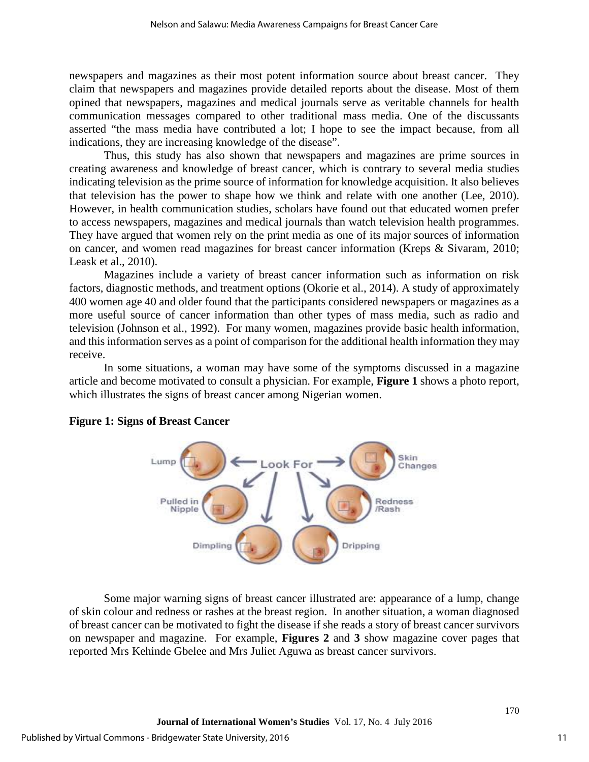newspapers and magazines as their most potent information source about breast cancer. They claim that newspapers and magazines provide detailed reports about the disease. Most of them opined that newspapers, magazines and medical journals serve as veritable channels for health communication messages compared to other traditional mass media. One of the discussants asserted "the mass media have contributed a lot; I hope to see the impact because, from all indications, they are increasing knowledge of the disease".

Thus, this study has also shown that newspapers and magazines are prime sources in creating awareness and knowledge of breast cancer, which is contrary to several media studies indicating television as the prime source of information for knowledge acquisition. It also believes that television has the power to shape how we think and relate with one another (Lee, 2010). However, in health communication studies, scholars have found out that educated women prefer to access newspapers, magazines and medical journals than watch television health programmes. They have argued that women rely on the print media as one of its major sources of information on cancer, and women read magazines for breast cancer information (Kreps & Sivaram, 2010; Leask et al., 2010).

Magazines include a variety of breast cancer information such as information on risk factors, diagnostic methods, and treatment options (Okorie et al., 2014). A study of approximately 400 women age 40 and older found that the participants considered newspapers or magazines as a more useful source of cancer information than other types of mass media, such as radio and television (Johnson et al., 1992). For many women, magazines provide basic health information, and this information serves as a point of comparison for the additional health information they may receive.

In some situations, a woman may have some of the symptoms discussed in a magazine article and become motivated to consult a physician. For example, **Figure 1** shows a photo report, which illustrates the signs of breast cancer among Nigerian women.



# **Figure 1: Signs of Breast Cancer**

Some major warning signs of breast cancer illustrated are: appearance of a lump, change of skin colour and redness or rashes at the breast region. In another situation, a woman diagnosed of breast cancer can be motivated to fight the disease if she reads a story of breast cancer survivors on newspaper and magazine. For example, **Figures 2** and **3** show magazine cover pages that reported Mrs Kehinde Gbelee and Mrs Juliet Aguwa as breast cancer survivors.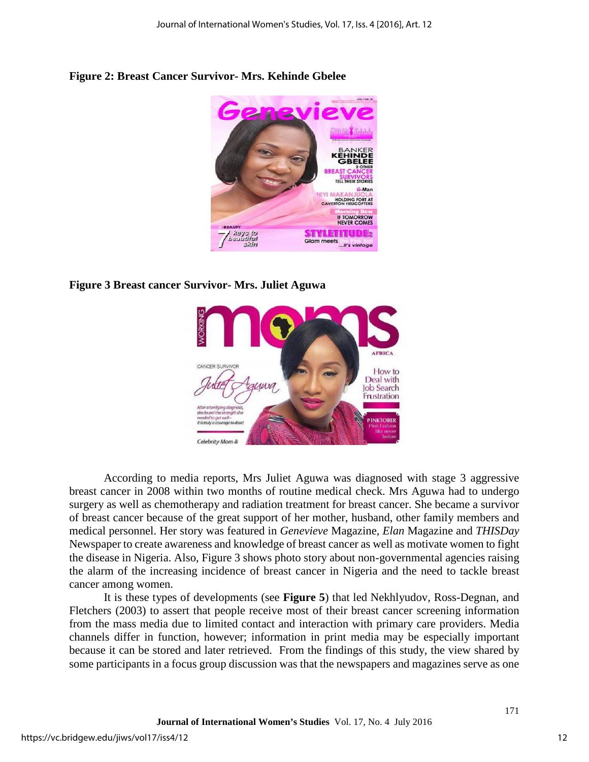

# **Figure 2: Breast Cancer Survivor- Mrs. Kehinde Gbelee**

# **Figure 3 Breast cancer Survivor- Mrs. Juliet Aguwa**



According to media reports, Mrs Juliet Aguwa was diagnosed with stage 3 aggressive breast cancer in 2008 within two months of routine medical check. Mrs Aguwa had to undergo surgery as well as chemotherapy and radiation treatment for breast cancer. She became a survivor of breast cancer because of the great support of her mother, husband, other family members and medical personnel. Her story was featured in *Genevieve* Magazine, *Elan* Magazine and *THISDay*  Newspaper to create awareness and knowledge of breast cancer as well as motivate women to fight the disease in Nigeria. Also, Figure 3 shows photo story about non-governmental agencies raising the alarm of the increasing incidence of breast cancer in Nigeria and the need to tackle breast cancer among women.

It is these types of developments (see **Figure 5**) that led Nekhlyudov, Ross-Degnan, and Fletchers (2003) to assert that people receive most of their breast cancer screening information from the mass media due to limited contact and interaction with primary care providers. Media channels differ in function, however; information in print media may be especially important because it can be stored and later retrieved. From the findings of this study, the view shared by some participants in a focus group discussion was that the newspapers and magazines serve as one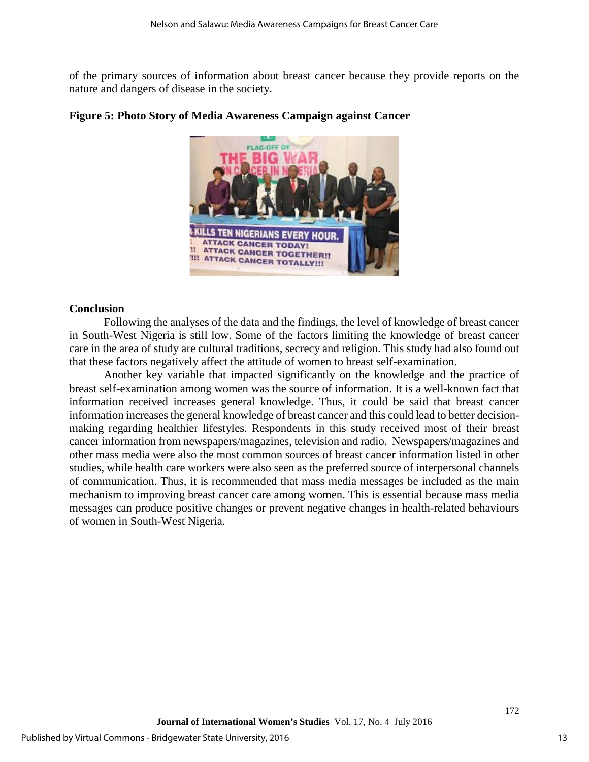of the primary sources of information about breast cancer because they provide reports on the nature and dangers of disease in the society.



# **Figure 5: Photo Story of Media Awareness Campaign against Cancer**

#### **Conclusion**

Following the analyses of the data and the findings, the level of knowledge of breast cancer in South-West Nigeria is still low. Some of the factors limiting the knowledge of breast cancer care in the area of study are cultural traditions, secrecy and religion. This study had also found out that these factors negatively affect the attitude of women to breast self-examination.

Another key variable that impacted significantly on the knowledge and the practice of breast self-examination among women was the source of information. It is a well-known fact that information received increases general knowledge. Thus, it could be said that breast cancer information increases the general knowledge of breast cancer and this could lead to better decisionmaking regarding healthier lifestyles. Respondents in this study received most of their breast cancer information from newspapers/magazines, television and radio. Newspapers/magazines and other mass media were also the most common sources of breast cancer information listed in other studies, while health care workers were also seen as the preferred source of interpersonal channels of communication. Thus, it is recommended that mass media messages be included as the main mechanism to improving breast cancer care among women. This is essential because mass media messages can produce positive changes or prevent negative changes in health-related behaviours of women in South-West Nigeria.